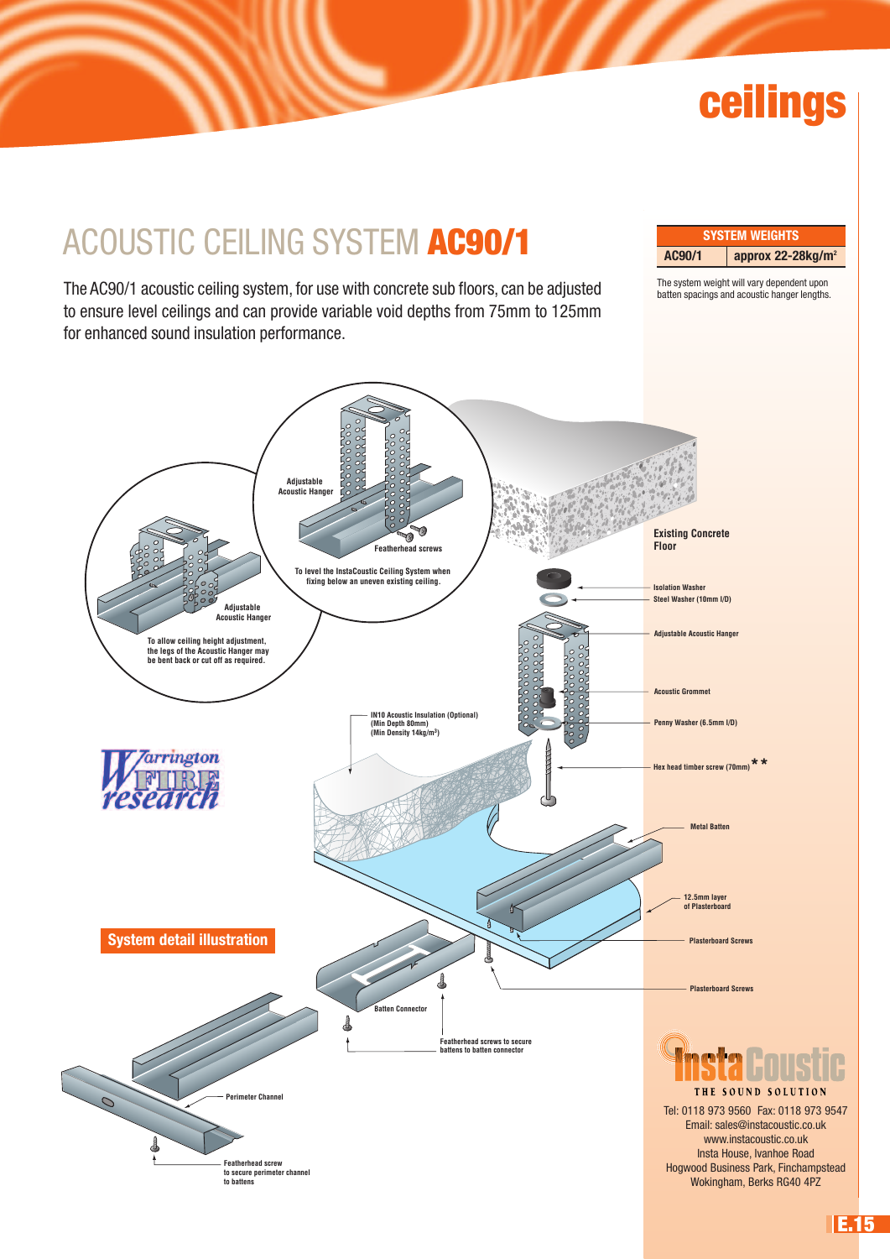# **ceilings**

### ACOUSTIC CEILING SYSTEM **AC90/1**

The AC90/1 acoustic ceiling system, for use with concrete sub floors, can be adjusted to ensure level ceilings and can provide variable void depths from 75mm to 125mm for enhanced sound insulation performance.

**SYSTEM WEIGHTS AC90/1 approx 22-28kg/m2**

The system weight will vary dependent upon batten spacings and acoustic hanger lengths.



**E.15**